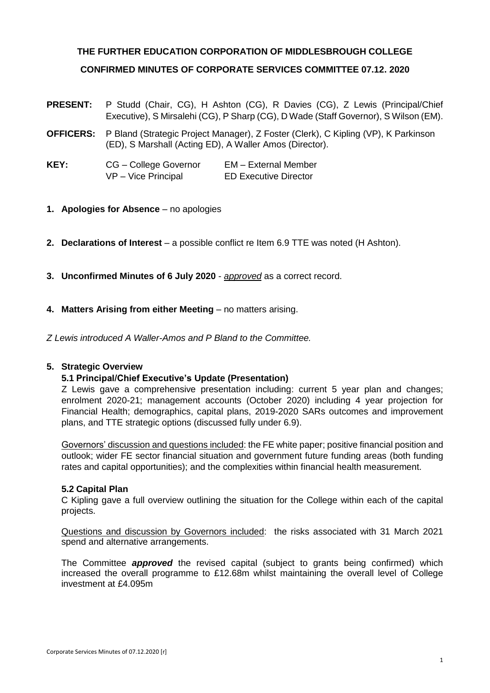# **THE FURTHER EDUCATION CORPORATION OF MIDDLESBROUGH COLLEGE CONFIRMED MINUTES OF CORPORATE SERVICES COMMITTEE 07.12. 2020**

- **PRESENT:** P Studd (Chair, CG), H Ashton (CG), R Davies (CG), Z Lewis (Principal/Chief Executive), S Mirsalehi (CG), P Sharp (CG), D Wade (Staff Governor), S Wilson (EM).
- **OFFICERS:** P Bland (Strategic Project Manager), Z Foster (Clerk), C Kipling (VP), K Parkinson (ED), S Marshall (Acting ED), A Waller Amos (Director).
- **KEY:** CG College Governor EM External Member VP – Vice Principal ED Executive Director
- **1. Apologies for Absence** no apologies
- **2. Declarations of Interest** a possible conflict re Item 6.9 TTE was noted (H Ashton).
- **3. Unconfirmed Minutes of 6 July 2020** *approved* as a correct record.
- **4. Matters Arising from either Meeting** no matters arising.

*Z Lewis introduced A Waller-Amos and P Bland to the Committee.*

# **5. Strategic Overview**

# **5.1 Principal/Chief Executive's Update (Presentation)**

Z Lewis gave a comprehensive presentation including: current 5 year plan and changes; enrolment 2020-21; management accounts (October 2020) including 4 year projection for Financial Health; demographics, capital plans, 2019-2020 SARs outcomes and improvement plans, and TTE strategic options (discussed fully under 6.9).

Governors' discussion and questions included: the FE white paper; positive financial position and outlook; wider FE sector financial situation and government future funding areas (both funding rates and capital opportunities); and the complexities within financial health measurement.

# **5.2 Capital Plan**

C Kipling gave a full overview outlining the situation for the College within each of the capital projects.

Questions and discussion by Governors included: the risks associated with 31 March 2021 spend and alternative arrangements.

The Committee *approved* the revised capital (subject to grants being confirmed) which increased the overall programme to £12.68m whilst maintaining the overall level of College investment at £4.095m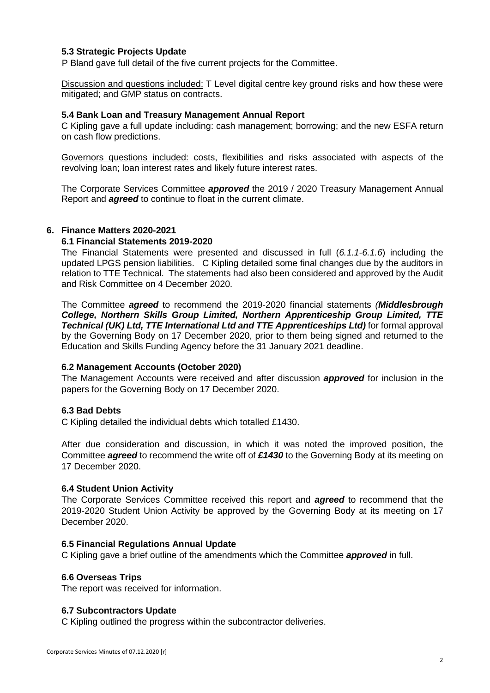# **5.3 Strategic Projects Update**

P Bland gave full detail of the five current projects for the Committee.

Discussion and questions included: T Level digital centre key ground risks and how these were mitigated; and GMP status on contracts.

## **5.4 Bank Loan and Treasury Management Annual Report**

C Kipling gave a full update including: cash management; borrowing; and the new ESFA return on cash flow predictions.

Governors questions included: costs, flexibilities and risks associated with aspects of the revolving loan; loan interest rates and likely future interest rates.

The Corporate Services Committee *approved* the 2019 / 2020 Treasury Management Annual Report and *agreed* to continue to float in the current climate.

## **6. Finance Matters 2020-2021**

#### **6.1 Financial Statements 2019-2020**

The Financial Statements were presented and discussed in full (*6.1.1-6.1.6*) including the updated LPGS pension liabilities. C Kipling detailed some final changes due by the auditors in relation to TTE Technical. The statements had also been considered and approved by the Audit and Risk Committee on 4 December 2020.

The Committee *agreed* to recommend the 2019-2020 financial statements *(Middlesbrough College, Northern Skills Group Limited, Northern Apprenticeship Group Limited, TTE Technical (UK) Ltd, TTE International Ltd and TTE Apprenticeships Ltd)* for formal approval by the Governing Body on 17 December 2020, prior to them being signed and returned to the Education and Skills Funding Agency before the 31 January 2021 deadline.

#### **6.2 Management Accounts (October 2020)**

The Management Accounts were received and after discussion *approved* for inclusion in the papers for the Governing Body on 17 December 2020.

# **6.3 Bad Debts**

C Kipling detailed the individual debts which totalled £1430.

After due consideration and discussion, in which it was noted the improved position, the Committee *agreed* to recommend the write off of *£1430* to the Governing Body at its meeting on 17 December 2020.

# **6.4 Student Union Activity**

The Corporate Services Committee received this report and *agreed* to recommend that the 2019-2020 Student Union Activity be approved by the Governing Body at its meeting on 17 December 2020.

#### **6.5 Financial Regulations Annual Update**

C Kipling gave a brief outline of the amendments which the Committee *approved* in full.

#### **6.6 Overseas Trips**

The report was received for information.

#### **6.7 Subcontractors Update**

C Kipling outlined the progress within the subcontractor deliveries.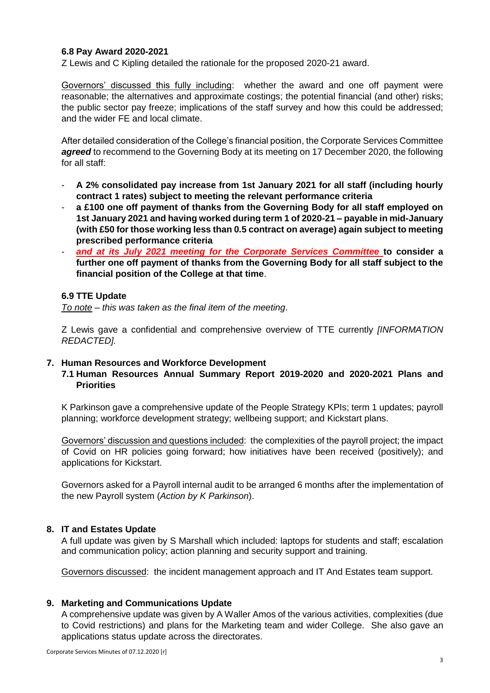# **6.8 Pay Award 2020-2021**

Z Lewis and C Kipling detailed the rationale for the proposed 2020-21 award.

Governors' discussed this fully including: whether the award and one off payment were reasonable; the alternatives and approximate costings; the potential financial (and other) risks; the public sector pay freeze; implications of the staff survey and how this could be addressed; and the wider FE and local climate.

After detailed consideration of the College's financial position, the Corporate Services Committee *agreed* to recommend to the Governing Body at its meeting on 17 December 2020, the following for all staff:

- **A 2% consolidated pay increase from 1st January 2021 for all staff (including hourly contract 1 rates) subject to meeting the relevant performance criteria**
- a £100 one off payment of thanks from the Governing Body for all staff employed on **1st January 2021 and having worked during term 1 of 2020-21 – payable in mid-January (with £50 for those working less than 0.5 contract on average) again subject to meeting prescribed performance criteria**
- *and at its July 2021 meeting for the Corporate Services Committee* **to consider a further one off payment of thanks from the Governing Body for all staff subject to the financial position of the College at that time**.

## **6.9 TTE Update**

*To note – this was taken as the final item of the meeting*.

Z Lewis gave a confidential and comprehensive overview of TTE currently *[INFORMATION REDACTED].*

# **7. Human Resources and Workforce Development**

# **7.1 Human Resources Annual Summary Report 2019-2020 and 2020-2021 Plans and Priorities**

K Parkinson gave a comprehensive update of the People Strategy KPIs; term 1 updates; payroll planning; workforce development strategy; wellbeing support; and Kickstart plans.

Governors' discussion and questions included: the complexities of the payroll project; the impact of Covid on HR policies going forward; how initiatives have been received (positively); and applications for Kickstart.

Governors asked for a Payroll internal audit to be arranged 6 months after the implementation of the new Payroll system (*Action by K Parkinson*).

# **8. IT and Estates Update**

A full update was given by S Marshall which included: laptops for students and staff; escalation and communication policy; action planning and security support and training.

Governors discussed: the incident management approach and IT And Estates team support.

#### **9. Marketing and Communications Update**

A comprehensive update was given by A Waller Amos of the various activities, complexities (due to Covid restrictions) and plans for the Marketing team and wider College. She also gave an applications status update across the directorates.